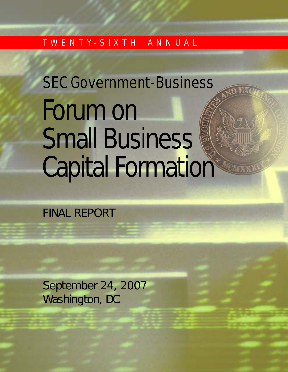## T W E N T Y - S I X T H A N N U A L

# Forum on Small Business SEC Government-Business Capital Formation

# FINAL REPORT

September 24, 2007 Washington, DC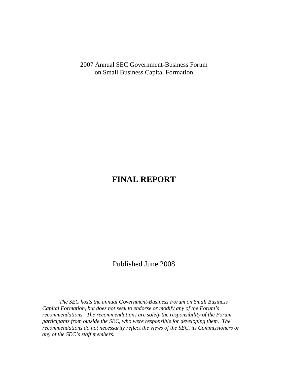2007 Annual SEC Government-Business Forum on Small Business Capital Formation

### **FINAL REPORT**

Published June 2008

*The SEC hosts the annual Government-Business Forum on Small Business Capital Formation, but does not seek to endorse or modify any of the Forum's recommendations. The recommendations are solely the responsibility of the Forum participants from outside the SEC, who were responsible for developing them. The recommendations do not necessarily reflect the views of the SEC, its Commissioners or any of the SEC's staff members.*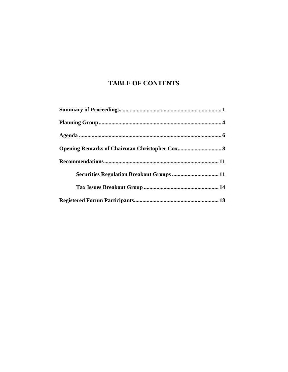### **TABLE OF CONTENTS**

| Securities Regulation Breakout Groups  11 |  |
|-------------------------------------------|--|
|                                           |  |
|                                           |  |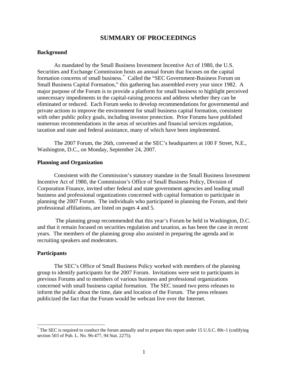### **SUMMARY OF PROCEEDINGS**

### **Background**

As mandated by the Small Business Investment Incentive Act of 1980, the U.S. Securities and Exchange Commission hosts an annual forum that focuses on the capital formation concerns of small business.[\\*](#page-3-0) Called the "SEC Government-Business Forum on Small Business Capital Formation," this gathering has assembled every year since 1982. A major purpose of the Forum is to provide a platform for small business to highlight perceived unnecessary impediments in the capital-raising process and address whether they can be eliminated or reduced. Each Forum seeks to develop recommendations for governmental and private actions to improve the environment for small business capital formation, consistent with other public policy goals, including investor protection. Prior Forums have published numerous recommendations in the areas of securities and financial services regulation, taxation and state and federal assistance, many of which have been implemented.

The 2007 Forum, the 26th, convened at the SEC's headquarters at 100 F Street, N.E., Washington, D.C., on Monday, September 24, 2007.

### **Planning and Organization**

Consistent with the Commission's statutory mandate in the Small Business Investment Incentive Act of 1980, the Commission's Office of Small Business Policy, Division of Corporation Finance, invited other federal and state government agencies and leading small business and professional organizations concerned with capital formation to participate in planning the 2007 Forum. The individuals who participated in planning the Forum, and their professional affiliations, are listed on pages 4 and 5.

 The planning group recommended that this year's Forum be held in Washington, D.C. and that it remain focused on securities regulation and taxation, as has been the case in recent years. The members of the planning group also assisted in preparing the agenda and in recruiting speakers and moderators.

### **Participants**

 $\overline{a}$ 

The SEC's Office of Small Business Policy worked with members of the planning group to identify participants for the 2007 Forum. Invitations were sent to participants in previous Forums and to members of various business and professional organizations concerned with small business capital formation. The SEC issued two press releases to inform the public about the time, date and location of the Forum. The press releases publicized the fact that the Forum would be webcast live over the Internet.

<span id="page-3-0"></span><sup>\*</sup> The SEC is required to conduct the forum annually and to prepare this report under 15 U.S.C. 80c-1 (codifying section 503 of Pub. L. No. 96-477, 94 Stat. 2275).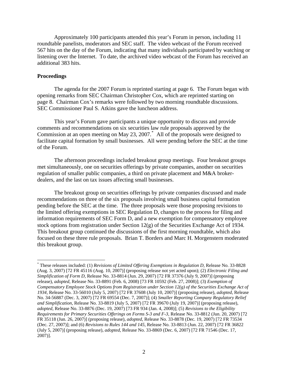Approximately 100 participants attended this year's Forum in person, including 11 roundtable panelists, moderators and SEC staff. The video webcast of the Forum received 567 hits on the day of the Forum, indicating that many individuals participated by watching or listening over the Internet. To date, the archived video webcast of the Forum has received an additional 383 hits.

### **Proceedings**

 $\overline{a}$ 

The agenda for the 2007 Forum is reprinted starting at page 6. The Forum began with opening remarks from SEC Chairman Christopher Cox, which are reprinted starting on page 8. Chairman Cox's remarks were followed by two morning roundtable discussions. SEC Commissioner Paul S. Atkins gave the luncheon address.

This year's Forum gave participants a unique opportunity to discuss and provide comments and recommendations on six securities law rule proposals approved by the Commission at an open meeting on May 23, 2007.[\\*](#page-4-0) All of the proposals were designed to facilitate capital formation by small businesses. All were pending before the SEC at the time of the Forum.

The afternoon proceedings included breakout group meetings. Four breakout groups met simultaneously, one on securities offerings by private companies, another on securities regulation of smaller public companies, a third on private placement and M&A brokerdealers, and the last on tax issues affecting small businesses.

The breakout group on securities offerings by private companies discussed and made recommendations on three of the six proposals involving small business capital formation pending before the SEC at the time. The three proposals were those proposing revisions to the limited offering exemptions in SEC Regulation D, changes to the process for filing and information requirements of SEC Form D, and a new exemption for compensatory employee stock options from registration under Section 12(g) of the Securities Exchange Act of 1934. This breakout group continued the discussions of the first morning roundtable, which also focused on these three rule proposals. Brian T. Borders and Marc H. Morgenstern moderated this breakout group.

<span id="page-4-0"></span> (Aug. 3, 2007) [72 FR 45116 (Aug. 10, 2007)] (proposing release not yet acted upon); (2) *Electronic Filing and Requirements for Primary Securities Offerings on Forms S-3 and F-3,* Release No. 33-8812 (Jun. 20, 2007) [72 \* These releases included: (1) *Revisions of Limited Offering Exemptions in Regulation D,* Release No. 33-8828 *Simplification of Form D,* Release No. 33-8814 (Jun. 29, 2007) [72 FR 37376 (July 9, 2007)] (proposing release), *adopted*, Release No. 33-8891 (Feb. 6, 2008) [73 FR 10592 (Feb. 27, 2008)]; (3) *Exemption of Compensatory Employee Stock Options from Registration under Section 12(g) of the Securities Exchange Act of 1934,* Release No. 33-56010 (July 5, 2007) [72 FR 37608 (July 10, 2007)] (proposing release), *adopted*, Release No. 34-56887 (Dec. 3, 2007) [72 FR 69554 (Dec. 7, 2007)]; (4) *Smaller Reporting Company Regulatory Relief and Simplification,* Release No. 33-8819 (July 5, 2007) [72 FR 39670 (July 19, 2007)] (proposing release), *adopted*, Release No. 33-8876 (Dec. 19, 2007) [73 FR 934 (Jan. 4, 2008)]; (5) *Revisions to the Eligibility*  FR 35118 (Jun. 26, 2007)] (proposing release), *adopted*, Release No. 33-8878 (Dec. 19, 2007) [72 FR 73534 (Dec. 27, 2007)]; and (6) *Revisions to Rules 144 and 145,* Release No. 33-8813 (Jun. 22, 2007) [72 FR 36822 (July 5, 2007)] (proposing release), *adopted*, Release No. 33-8869 (Dec. 6, 2007) [72 FR 71546 (Dec. 17, 2007)].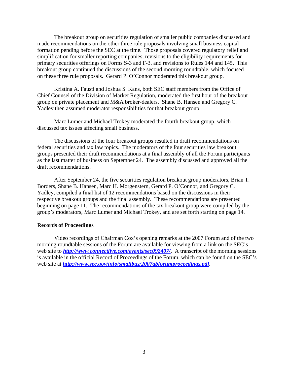The breakout group on securities regulation of smaller public companies discussed and made recommendations on the other three rule proposals involving small business capital formation pending before the SEC at the time. Those proposals covered regulatory relief and simplification for smaller reporting companies, revisions to the eligibility requirements for primary securities offerings on Forms S-3 and F-3, and revisions to Rules 144 and 145. This breakout group continued the discussions of the second morning roundtable, which focused on these three rule proposals. Gerard P. O'Connor moderated this breakout group.

Kristina A. Fausti and Joshua S. Kans, both SEC staff members from the Office of Chief Counsel of the Division of Market Regulation, moderated the first hour of the breakout group on private placement and M&A broker-dealers. Shane B. Hansen and Gregory C. Yadley then assumed moderator responsibilities for that breakout group.

Marc Lumer and Michael Trokey moderated the fourth breakout group, which discussed tax issues affecting small business.

The discussions of the four breakout groups resulted in draft recommendations on federal securities and tax law topics. The moderators of the four securities law breakout groups presented their draft recommendations at a final assembly of all the Forum participants as the last matter of business on September 24. The assembly discussed and approved all the draft recommendations.

After September 24, the five securities regulation breakout group moderators, Brian T. Borders, Shane B. Hansen, Marc H. Morgenstern, Gerard P. O'Connor, and Gregory C. Yadley, compiled a final list of 12 recommendations based on the discussions in their respective breakout groups and the final assembly. These recommendations are presented beginning on page 11. The recommendations of the tax breakout group were compiled by the group's moderators, Marc Lumer and Michael Trokey, and are set forth starting on page 14.

### **Records of Proceedings**

Video recordings of Chairman Cox's opening remarks at the 2007 Forum and of the two morning roundtable sessions of the Forum are available for viewing from a link on the SEC's web site to **<http://www.connectlive.com/events/sec092407/>**. A transcript of the morning sessions is available in the official Record of Proceedings of the Forum, which can be found on the SEC's web site at *<http://www.sec.gov/info/smallbus/2007gbforumproceedings.pdf>.*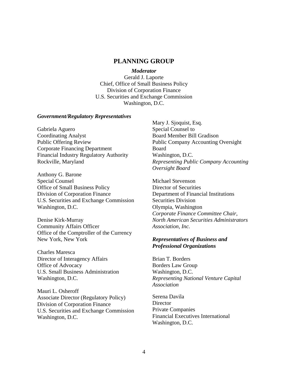### **PLANNING GROUP**

#### *Moderator*

Gerald J. Laporte Chief, Office of Small Business Policy Division of Corporation Finance U.S. Securities and Exchange Commission Washington, D.C.

### *Government/Regulatory Representatives*

Gabriela Aguero Coordinating Analyst Public Offering Review Corporate Financing Department Financial Industry Regulatory Authority Rockville, Maryland

Anthony G. Barone Special Counsel Office of Small Business Policy Division of Corporation Finance U.S. Securities and Exchange Commission Washington, D.C.

Denise Kirk-Murray Community Affairs Officer Office of the Comptroller of the Currency

 New York, New York Charles Maresca Director of Interagency Affairs Office of Advocacy U.S. Small Business Administration Washington, D.C.

Mauri L. Osheroff Associate Director (Regulatory Policy) Division of Corporation Finance U.S. Securities and Exchange Commission Washington, D.C.

Mary J. Sjoquist, Esq. Special Counsel to Board Member Bill Gradison Public Company Accounting Oversight Board Washington, D.C. *Representing Public Company Accounting Oversight Board* 

Michael Stevenson Director of Securities Department of Financial Institutions Securities Division Olympia, Washington *Corporate Finance Committee Chair, North American Securities Administrators Association, Inc.* 

### *Representatives of Business and Professional Organizations*

Brian T. Borders Borders Law Group Washington, D.C. *Representing National Venture Capital Association* 

Serena Davila **Director** Private Companies Financial Executives International Washington, D.C.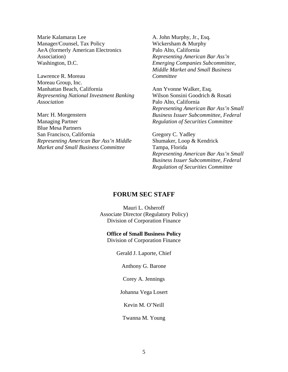Marie Kalamaras Lee A. John Murphy, Jr., Esq. Manager/Counsel, Tax Policy Wickersham & Murphy AeA (formerly American Electronics Palo Alto, California Association) *Representing American Bar Ass'n*  Washington, D.C. *Emerging Companies Subcommittee,* 

Manhattan Beach, California **Ann Yvonne Walker**, Esq. Lawrence R. Moreau *Committee*  Moreau Group, Inc. *Representing National Investment Banking* Wilson Sonsini Goodrich & Rosati *Association* Palo Alto, California

Managing Partner *Regulation of Securities Committee*  Blue Mesa Partners San Francisco, California Gregory C. Yadley *Representing American Bar Ass'n Middle* Shumaker, Loop & Kendrick *Market and Small Business Committee* Tampa, Florida

*Middle Market and Small Business* 

*Representing American Bar Ass'n Small*  Marc H. Morgenstern *Business Issuer Subcommittee, Federal* 

> *Representing American Bar Ass'n Small Business Issuer Subcommittee, Federal Regulation of Securities Committee*

### **FORUM SEC STAFF**

Mauri L. Osheroff Associate Director (Regulatory Policy) Division of Corporation Finance

### **Office of Small Business Policy**

Division of Corporation Finance

Gerald J. Laporte, Chief

Anthony G. Barone

Corey A. Jennings

Johanna Vega Losert

Kevin M. O'Neill

Twanna M. Young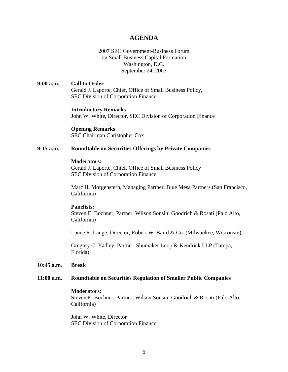### **AGENDA**

### 2007 SEC Government-Business Forum on Small Business Capital Formation Washington, D.C. September 24, 2007

**9:00 a.m. Call to Order**  Gerald J. Laporte, Chief, Office of Small Business Policy, SEC Division of Corporation Finance

### **Introductory Remarks**

John W. White, Director, SEC Division of Corporation Finance

**Opening Remarks**  SEC Chairman Christopher Cox

### **9:15 a.m. Roundtable on Securities Offerings by Private Companies**

### **Moderators:**

Gerald J. Laporte, Chief, Office of Small Business Policy SEC Division of Corporation Finance

Marc H. Morgenstern, Managing Partner, Blue Mesa Partners (San Francisco, California)

### **Panelists:**

Steven E. Bochner, Partner, Wilson Sonsini Goodrich & Rosati (Palo Alto, California)

Lance R. Lange, Director, Robert W. Baird & Co. (Milwaukee, Wisconsin)

Gregory C. Yadley, Partner, Shumaker Loop & Kendrick LLP (Tampa, Florida)

### **10:45 a.m. Break**

#### **11:00 a.m. Roundtable on Securities Regulation of Smaller Public Companies**

#### **Moderators:**

Steven E. Bochner, Partner, Wilson Sonsini Goodrich & Rosati (Palo Alto, California)

John W. White, Director SEC Division of Corporation Finance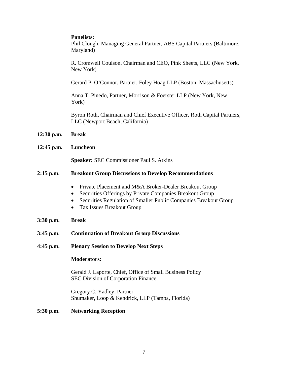### **Panelists:**

Phil Clough, Managing General Partner, ABS Capital Partners (Baltimore, Maryland)

R. Cromwell Coulson, Chairman and CEO, Pink Sheets, LLC (New York, New York)

Gerard P. O'Connor, Partner, Foley Hoag LLP (Boston, Massachusetts)

Anna T. Pinedo, Partner, Morrison & Foerster LLP (New York, New York)

Byron Roth, Chairman and Chief Executive Officer, Roth Capital Partners, LLC (Newport Beach, California)

- **12:30 p.m. Break**
- **12:45 p.m. Luncheon**

**Speaker:** SEC Commissioner Paul S. Atkins

### **2:15 p.m. Breakout Group Discussions to Develop Recommendations**

- Private Placement and M&A Broker-Dealer Breakout Group
- Securities Offerings by Private Companies Breakout Group
- Securities Regulation of Smaller Public Companies Breakout Group
- Tax Issues Breakout Group
- **3:30 p.m. Break**
- **3:45 p.m. Continuation of Breakout Group Discussions**
- **4:45 p.m. Plenary Session to Develop Next Steps**

### **Moderators:**

Gerald J. Laporte, Chief, Office of Small Business Policy SEC Division of Corporation Finance

Gregory C. Yadley, Partner Shumaker, Loop & Kendrick, LLP (Tampa, Florida)

### **5:30 p.m. Networking Reception**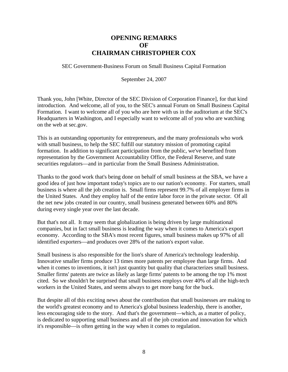### **OPENING REMARKS OF CHAIRMAN CHRISTOPHER COX**

SEC Government-Business Forum on Small Business Capital Formation

September 24, 2007

Thank you, John [White, Director of the SEC Division of Corporation Finance], for that kind introduction. And welcome, all of you, to the SEC's annual Forum on Small Business Capital Formation. I want to welcome all of you who are here with us in the auditorium at the SEC's Headquarters in Washington, and I especially want to welcome all of you who are watching on the web at sec.gov.

This is an outstanding opportunity for entrepreneurs, and the many professionals who work with small business, to help the SEC fulfill our statutory mission of promoting capital formation. In addition to significant participation from the public, we've benefited from representation by the Government Accountability Office, the Federal Reserve, and state securities regulators—and in particular from the Small Business Administration.

Thanks to the good work that's being done on behalf of small business at the SBA, we have a good idea of just how important today's topics are to our nation's economy. For starters, small business is where all the job creation is. Small firms represent 99.7% of all employer firms in the United States. And they employ half of the entire labor force in the private sector. Of all the net new jobs created in our country, small business generated between 60% and 80% during every single year over the last decade.

But that's not all. It may seem that globalization is being driven by large multinational companies, but in fact small business is leading the way when it comes to America's export economy. According to the SBA's most recent figures, small business makes up 97% of all identified exporters—and produces over 28% of the nation's export value.

Small business is also responsible for the lion's share of America's technology leadership. Innovative smaller firms produce 13 times more patents per employee than large firms. And when it comes to inventions, it isn't just quantity but quality that characterizes small business. Smaller firms' patents are twice as likely as large firms' patents to be among the top 1% most cited. So we shouldn't be surprised that small business employs over 40% of all the high-tech workers in the United States, and seems always to get more bang for the buck.

But despite all of this exciting news about the contribution that small businesses are making to the world's greatest economy and to America's global business leadership, there is another, less encouraging side to the story. And that's the government—which, as a matter of policy, is dedicated to supporting small business and all of the job creation and innovation for which it's responsible—is often getting in the way when it comes to regulation.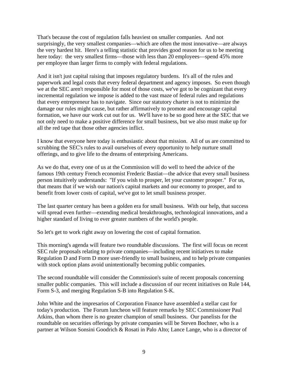That's because the cost of regulation falls heaviest on smaller companies. And not surprisingly, the very smallest companies—which are often the most innovative—are always the very hardest hit. Here's a telling statistic that provides good reason for us to be meeting here today: the very smallest firms—those with less than 20 employees—spend 45% more per employee than larger firms to comply with federal regulations.

And it isn't just capital raising that imposes regulatory burdens. It's all of the rules and paperwork and legal costs that every federal department and agency imposes. So even though we at the SEC aren't responsible for most of those costs, we've got to be cognizant that every incremental regulation we impose is added to the vast maze of federal rules and regulations that every entrepreneur has to navigate. Since our statutory charter is not to minimize the damage our rules might cause, but rather affirmatively to promote and encourage capital formation, we have our work cut out for us. We'll have to be so good here at the SEC that we not only need to make a positive difference for small business, but we also must make up for all the red tape that those other agencies inflict.

I know that everyone here today is enthusiastic about that mission. All of us are committed to scrubbing the SEC's rules to avail ourselves of every opportunity to help nurture small offerings, and to give life to the dreams of enterprising Americans.

As we do that, every one of us at the Commission will do well to heed the advice of the famous 19th century French economist Frederic Bastiat—the advice that every small business person intuitively understands: "If you wish to prosper, let your customer prosper." For us, that means that if we wish our nation's capital markets and our economy to prosper, and to benefit from lower costs of capital, we've got to let small business prosper.

The last quarter century has been a golden era for small business. With our help, that success will spread even further—extending medical breakthroughs, technological innovations, and a higher standard of living to ever greater numbers of the world's people.

So let's get to work right away on lowering the cost of capital formation.

This morning's agenda will feature two roundtable discussions. The first will focus on recent SEC rule proposals relating to private companies—including recent initiatives to make Regulation D and Form D more user-friendly to small business, and to help private companies with stock option plans avoid unintentionally becoming public companies.

The second roundtable will consider the Commission's suite of recent proposals concerning smaller public companies. This will include a discussion of our recent initiatives on Rule 144, Form S-3, and merging Regulation S-B into Regulation S-K.

John White and the impresarios of Corporation Finance have assembled a stellar cast for today's production. The Forum luncheon will feature remarks by SEC Commissioner Paul Atkins, than whom there is no greater champion of small business. Our panelists for the roundtable on securities offerings by private companies will be Steven Bochner, who is a partner at Wilson Sonsini Goodrich & Rosati in Palo Alto; Lance Lange, who is a director of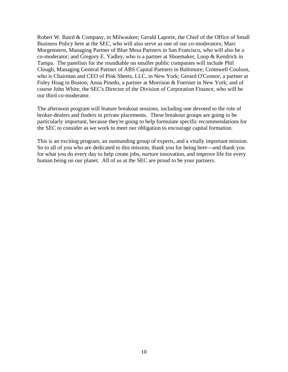Robert W. Baird & Company, in Milwaukee; Gerald Laporte, the Chief of the Office of Small Business Policy here at the SEC, who will also serve as one of our co-moderators; Marc Morgenstern, Managing Partner of Blue Mesa Partners in San Francisco, who will also be a co-moderator; and Gregory E. Yadley, who is a partner at Shoemaker, Loop & Kendrick in Tampa. The panelists for the roundtable on smaller public companies will include Phil Clough, Managing General Partner of ABS Capital Partners in Baltimore; Cromwell Coulson, who is Chairman and CEO of Pink Sheets, LLC, in New York; Gerard O'Connor, a partner at Foley Hoag in Boston; Anna Pinedo, a partner at Morrison & Foerster in New York; and of course John White, the SEC's Director of the Division of Corporation Finance, who will be our third co-moderator.

The afternoon program will feature breakout sessions, including one devoted to the role of broker-dealers and finders in private placements. These breakout groups are going to be particularly important, because they're going to help formulate specific recommendations for the SEC to consider as we work to meet our obligation to encourage capital formation.

This is an exciting program, an outstanding group of experts, and a vitally important mission. So to all of you who are dedicated to this mission, thank you for being here—and thank you for what you do every day to help create jobs, nurture innovation, and improve life for every human being on our planet. All of us at the SEC are proud to be your partners.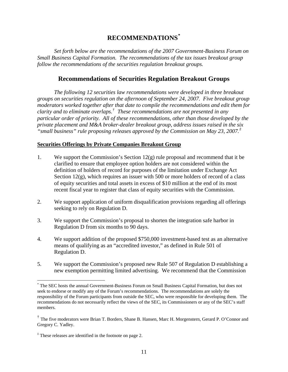### **RECOMMENDATIONS[\\*](#page-13-0)**

*Set forth below are the recommendations of the 2007 Government-Business Forum on Small Business Capital Formation. The recommendations of the tax issues breakout group follow the recommendations of the securities regulation breakout groups.* 

### **Recommendations of Securities Regulation Breakout Groups**

 *"small business" rule proposing releases approved by the Commission on May 23, 2007.[‡](#page-13-2) The following 12 securities law recommendations were developed in three breakout groups on securities regulation on the afternoon of September 24, 2007. Five breakout group moderators worked together after that date to compile the recommendations and edit them for clarity and to eliminate overlaps.[†](#page-13-1) These recommendations are not presented in any particular order of priority. All of these recommendations, other than those developed by the private placement and M&A broker-dealer breakout group, address issues raised in the six* 

### **Securities Offerings by Private Companies Breakout Group**

- 1. We support the Commission's Section  $12(g)$  rule proposal and recommend that it be clarified to ensure that employee option holders are not considered within the definition of holders of record for purposes of the limitation under Exchange Act Section  $12(g)$ , which requires an issuer with 500 or more holders of record of a class of equity securities and total assets in excess of \$10 million at the end of its most recent fiscal year to register that class of equity securities with the Commission.
- 2. We support application of uniform disqualification provisions regarding all offerings seeking to rely on Regulation D.
- 3. We support the Commission's proposal to shorten the integration safe harbor in Regulation D from six months to 90 days.
- 4. We support addition of the proposed \$750,000 investment-based test as an alternative means of qualifying as an "accredited investor," as defined in Rule 501 of Regulation D.
- 5. We support the Commission's proposed new Rule 507 of Regulation D establishing a new exemption permitting limited advertising. We recommend that the Commission

 $\overline{a}$ 

<span id="page-13-0"></span> recommendations do not necessarily reflect the views of the SEC, its Commissioners or any of the SEC's staff \* The SEC hosts the annual Government-Business Forum on Small Business Capital Formation, but does not seek to endorse or modify any of the Forum's recommendations. The recommendations are solely the responsibility of the Forum participants from outside the SEC, who were responsible for developing them. The members.

<span id="page-13-1"></span><sup>†</sup> The five moderators were Brian T. Borders, Shane B. Hansen, Marc H. Morgenstern, Gerard P. O'Connor and Gregory C. Yadley.

<span id="page-13-2"></span><sup>&</sup>lt;sup>‡</sup> These releases are identified in the footnote on page 2.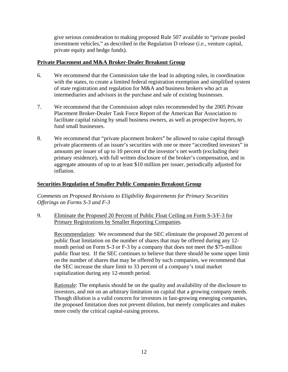give serious consideration to making proposed Rule 507 available to "private pooled investment vehicles," as described in the Regulation D release (*i.e.,* venture capital, private equity and hedge funds).

### **Private Placement and M&A Broker-Dealer Breakout Group**

- 6. We recommend that the Commission take the lead in adopting rules, in coordination with the states, to create a limited federal registration exemption and simplified system of state registration and regulation for M&A and business brokers who act as intermediaries and advisors in the purchase and sale of existing businesses.
- 7. We recommend that the Commission adopt rules recommended by the 2005 Private Placement Broker-Dealer Task Force Report of the American Bar Association to facilitate capital raising by small business owners, as well as prospective buyers, to fund small businesses.
- 8. We recommend that "private placement brokers" be allowed to raise capital through private placements of an issuer's securities with one or more "accredited investors" in amounts per issuer of up to 10 percent of the investor's net worth (excluding their primary residence), with full written disclosure of the broker's compensation, and in aggregate amounts of up to at least \$10 million per issuer, periodically adjusted for inflation.

### **Securities Regulation of Smaller Public Companies Breakout Group**

*Comments on Proposed Revisions to Eligibility Requirements for Primary Securities Offerings on Forms S-3 and F-3* 

9. Eliminate the Proposed 20 Percent of Public Float Ceiling on Form S-3/F-3 for Primary Registrations by Smaller Reporting Companies.

Recommendation: We recommend that the SEC eliminate the proposed 20 percent of public float limitation on the number of shares that may be offered during any 12 month period on Form S-3 or F-3 by a company that does not meet the \$75-million public float test. If the SEC continues to believe that there should be some upper limit on the number of shares that may be offered by such companies, we recommend that the SEC increase the share limit to 33 percent of a company's total market capitalization during any 12-month period.

Rationale: The emphasis should be on the quality and availability of the disclosure to investors, and not on an arbitrary limitation on capital that a growing company needs. Though dilution is a valid concern for investors in fast-growing emerging companies, the proposed limitation does not prevent dilution, but merely complicates and makes more costly the critical capital-raising process.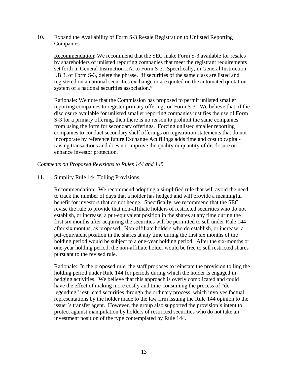### 10. Expand the Availability of Form S-3 Resale Registration to Unlisted Reporting Companies.

Recommendation: We recommend that the SEC make Form S-3 available for resales by shareholders of unlisted reporting companies that meet the registrant requirements set forth in General Instruction I.A. to Form S-3. Specifically, in General Instruction I.B.3. of Form S-3, delete the phrase, "if securities of the same class are listed and registered on a national securities exchange or are quoted on the automated quotation system of a national securities association."

Rationale: We note that the Commission has proposed to permit unlisted smaller reporting companies to register primary offerings on Form S-3. We believe that, if the disclosure available for unlisted smaller reporting companies justifies the use of Form S-3 for a primary offering, then there is no reason to prohibit the same companies from using the form for secondary offerings. Forcing unlisted smaller reporting companies to conduct secondary shelf offerings on registration statements that do not incorporate by reference future Exchange Act filings adds time and cost to capitalraising transactions and does not improve the quality or quantity of disclosure or enhance investor protection.

### *Comments on Proposed Revisions to Rules 144 and 145*

### 11. Simplify Rule 144 Tolling Provisions.

Recommendation: We recommend adopting a simplified rule that will avoid the need to track the number of days that a holder has hedged and will provide a meaningful benefit for investors that do not hedge. Specifically, we recommend that the SEC revise the rule to provide that non-affiliate holders of restricted securities who do not establish, or increase, a put-equivalent position in the shares at any time during the first six months after acquiring the securities will be permitted to sell under Rule 144 after six months, as proposed. Non-affiliate holders who do establish, or increase, a put-equivalent position in the shares at any time during the first six months of the holding period would be subject to a one-year holding period. After the six-months or one-year holding period, the non-affiliate holder would be free to sell restricted shares pursuant to the revised rule.

Rationale: In the proposed rule, the staff proposes to reinstate the provision tolling the holding period under Rule 144 for periods during which the holder is engaged in hedging activities. We believe that this approach is overly complicated and could have the effect of making more costly and time-consuming the process of "delegending" restricted securities through the ordinary process, which involves factual representations by the holder made to the law firm issuing the Rule 144 opinion to the issuer's transfer agent. However, the group also supported the provision's intent to protect against manipulation by holders of restricted securities who do not take an investment position of the type contemplated by Rule 144.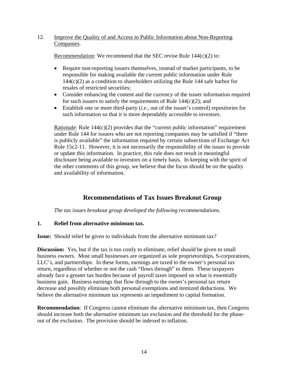### 12. Improve the Quality of and Access to Public Information about Non-Reporting Companies.

Recommendation: We recommend that the SEC revise Rule  $144(c)(2)$  to:

- Require non-reporting issuers themselves, instead of market participants, to be responsible for making available the current public information under Rule  $144(c)(2)$  as a condition to shareholders utilizing the Rule 144 safe harbor for resales of restricted securities;
- Consider enhancing the content and the currency of the issuer information required for such issuers to satisfy the requirements of Rule  $144(c)(2)$ ; and
- Establish one or more third-party (*i.e.*, out of the issuer's control) repositories for such information so that it is more dependably accessible to investors.

Rationale: Rule 144(c)(2) provides that the "current public information" requirement under Rule 144 for issuers who are not reporting companies may be satisfied if "there is publicly available" the information required by certain subsections of Exchange Act Rule 15c2-11. However, it is not necessarily the responsibility of the issuer to provide or update this information. In practice, this rule does not result in meaningful disclosure being available to investors on a timely basis. In keeping with the spirit of the other comments of this group, we believe that the focus should be on the quality and availability of information.

### **Recommendations of Tax Issues Breakout Group**

*The tax issues breakout group developed the following recommendations.* 

### **1. Relief from alternative minimum tax.**

**Issue:** Should relief be given to individuals from the alternative minimum tax?

**Discussion:** Yes, but if the tax is too costly to eliminate, relief should be given to small business owners. Most small businesses are organized as sole proprietorships, S-corporations, LLC's, and partnerships. In these forms, earnings are taxed to the owner's personal tax return, regardless of whether or not the cash "flows through" to them. These taxpayers already face a greater tax burden because of payroll taxes imposed on what is essentially business gain. Business earnings that flow through to the owner's personal tax return decrease and possibly eliminate both personal exemptions and itemized deductions. We believe the alternative minimum tax represents an impediment to capital formation.

**Recommendation**: If Congress cannot eliminate the alternative minimum tax, then Congress should increase both the alternative minimum tax exclusion and the threshold for the phaseout of the exclusion. The provision should be indexed to inflation.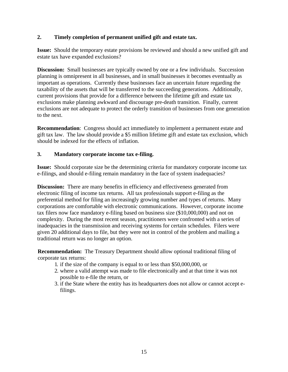### **2. Timely completion of permanent unified gift and estate tax.**

**Issue:** Should the temporary estate provisions be reviewed and should a new unified gift and estate tax have expanded exclusions?

**Discussion:** Small businesses are typically owned by one or a few individuals. Succession planning is omnipresent in all businesses, and in small businesses it becomes eventually as important as operations. Currently these businesses face an uncertain future regarding the taxability of the assets that will be transferred to the succeeding generations. Additionally, current provisions that provide for a difference between the lifetime gift and estate tax exclusions make planning awkward and discourage pre-death transition. Finally, current exclusions are not adequate to protect the orderly transition of businesses from one generation to the next.

**Recommendation**: Congress should act immediately to implement a permanent estate and gift tax law. The law should provide a \$5 million lifetime gift and estate tax exclusion, which should be indexed for the effects of inflation.

### **3. Mandatory corporate income tax e-filing.**

**Issue:** Should corporate size be the determining criteria for mandatory corporate income tax e-filings, and should e-filing remain mandatory in the face of system inadequacies?

**Discussion:** There are many benefits in efficiency and effectiveness generated from electronic filing of income tax returns. All tax professionals support e-filing as the preferential method for filing an increasingly growing number and types of returns. Many corporations are comfortable with electronic communications. However, corporate income tax filers now face mandatory e-filing based on business size (\$10,000,000) and not on complexity. During the most recent season, practitioners were confronted with a series of inadequacies in the transmission and receiving systems for certain schedules. Filers were given 20 additional days to file, but they were not in control of the problem and mailing a traditional return was no longer an option.

**Recommendation:** The Treasury Department should allow optional traditional filing of corporate tax returns:

- 1. if the size of the company is equal to or less than \$50,000,000, or
- 2. where a valid attempt was made to file electronically and at that time it was not possible to e-file the return, or
- 3. if the State where the entity has its headquarters does not allow or cannot accept efilings.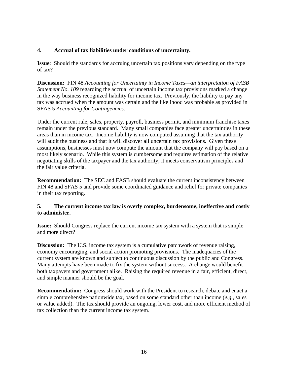### **4. Accrual of tax liabilities under conditions of uncertainty.**

**Issue**: Should the standards for accruing uncertain tax positions vary depending on the type of tax?

 **Discussion:** FIN 48 *Accounting for Uncertainty in Income Taxes—an interpretation of FASB Statement No. 109* regarding the accrual of uncertain income tax provisions marked a change in the way business recognized liability for income tax. Previously, the liability to pay any tax was accrued when the amount was certain and the likelihood was probable as provided in SFAS 5 *Accounting for Contingencies.* 

Under the current rule, sales, property, payroll, business permit, and minimum franchise taxes remain under the previous standard. Many small companies face greater uncertainties in these areas than in income tax. Income liability is now computed assuming that the tax authority will audit the business and that it will discover all uncertain tax provisions. Given these assumptions, businesses must now compute the amount that the company will pay based on a most likely scenario. While this system is cumbersome and requires estimation of the relative negotiating skills of the taxpayer and the tax authority, it meets conservatism principles and the fair value criteria.

**Recommendation:** The SEC and FASB should evaluate the current inconsistency between FIN 48 and SFAS 5 and provide some coordinated guidance and relief for private companies in their tax reporting.

### **5. The current income tax law is overly complex, burdensome, ineffective and costly to administer.**

**Issue:** Should Congress replace the current income tax system with a system that is simple and more direct?

**Discussion:** The U.S. income tax system is a cumulative patchwork of revenue raising, economy encouraging, and social action promoting provisions. The inadequacies of the current system are known and subject to continuous discussion by the public and Congress. Many attempts have been made to fix the system without success. A change would benefit both taxpayers and government alike. Raising the required revenue in a fair, efficient, direct, and simple manner should be the goal.

**Recommendation:** Congress should work with the President to research, debate and enact a simple comprehensive nationwide tax, based on some standard other than income (*e.g.,* sales or value added). The tax should provide an ongoing, lower cost, and more efficient method of tax collection than the current income tax system.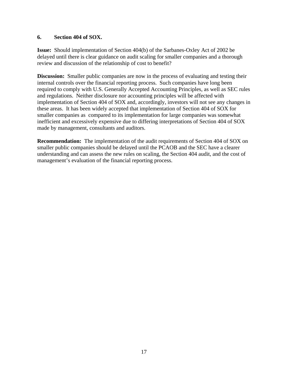### **6. Section 404 of SOX.**

**Issue:** Should implementation of Section 404(b) of the Sarbanes-Oxley Act of 2002 be delayed until there is clear guidance on audit scaling for smaller companies and a thorough review and discussion of the relationship of cost to benefit?

**Discussion:** Smaller public companies are now in the process of evaluating and testing their internal controls over the financial reporting process. Such companies have long been required to comply with U.S. Generally Accepted Accounting Principles, as well as SEC rules and regulations. Neither disclosure nor accounting principles will be affected with implementation of Section 404 of SOX and, accordingly, investors will not see any changes in these areas. It has been widely accepted that implementation of Section 404 of SOX for smaller companies as compared to its implementation for large companies was somewhat inefficient and excessively expensive due to differing interpretations of Section 404 of SOX made by management, consultants and auditors.

**Recommendation:** The implementation of the audit requirements of Section 404 of SOX on smaller public companies should be delayed until the PCAOB and the SEC have a clearer understanding and can assess the new rules on scaling, the Section 404 audit, and the cost of management's evaluation of the financial reporting process.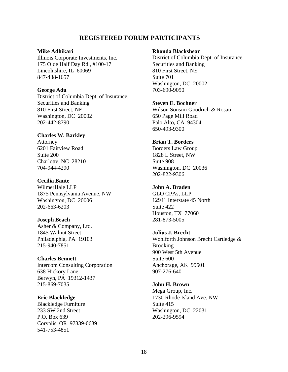### **REGISTERED FORUM PARTICIPANTS**

### **Mike Adhikari**

Illinois Corporate Investments, Inc. 175 Olde Half Day Rd., #100-17 Lincolnshire, IL 60069 847-438-1657

### **George Adu**

District of Columbia Dept. of Insurance, Securities and Banking 810 First Street, NE Washington, DC 20002 202-442-8790

### **Charles W. Barkley**

Attorney 6201 Fairview Road Suite 200 Charlotte, NC 28210 704-944-4290

### **Cecilia Baute**

WilmerHale LLP 1875 Pennsylvania Avenue, NW Washington, DC 20006 202-663-6203

#### **Joseph Beach**

Asher & Company, Ltd. 1845 Walnut Street Philadelphia, PA 19103 215-940-7851

#### **Charles Bennett**

Intercom Consulting Corporation 638 Hickory Lane Berwyn, PA 19312-1437 215-869-7035

### **Eric Blackledge**

Blackledge Furniture 233 SW 2nd Street P.O. Box 639 Corvalis, OR 97339-0639 541-753-4851

### **Rhonda Blackshear**

District of Columbia Dept. of Insurance, Securities and Banking 810 First Street, NE Suite 701 Washington, DC 20002 703-690-9050

### **Steven E. Bochner**

Wilson Sonsini Goodrich & Rosati 650 Page Mill Road Palo Alto, CA 94304 650-493-9300

### **Brian T. Borders**

Borders Law Group 1828 L Street, NW Suite 908 Washington, DC 20036 202-822-9306

### **John A. Braden**

GLO CPAs, LLP 12941 Interstate 45 North Suite 422 Houston, TX 77060 281-873-5005

### **Julius J. Brecht**

Wohlforth Johnson Brecht Cartledge & **Brooking** 900 West 5th Avenue Suite 600 Anchorage, AK 99501 907-276-6401

### **John H. Brown**

Mega Group, Inc. 1730 Rhode Island Ave. NW Suite 415 Washington, DC 22031 202-296-9594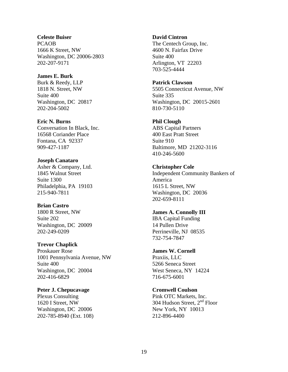### **Celeste Buiser**

PCAOB 1666 K Street, NW Washington, DC 20006-2803 202-207-9171

### **James E. Burk**

Burk & Reedy, LLP 1818 N. Street, NW Suite 400 Washington, DC 20817 202-204-5002

### **Eric N. Burns**

Conversation In Black, Inc. 16568 Coriander Place Fontana, CA 92337 909-427-1187

### **Joseph Canataro**

Asher & Company, Ltd. 1845 Walnut Street Suite 1300 Philadelphia, PA 19103 215-940-7811

### **Brian Castro**

1800 R Street, NW Suite 202 Washington, DC 20009 202-249-0209

### **Trevor Chaplick**

Proskauer Rose 1001 Pennsylvania Avenue, NW Suite 400 Washington, DC 20004 202-416-6829

### **Peter J. Chepucavage**

Plexus Consulting 1620 I Street, NW Washington, DC 20006 202-785-8940 (Ext. 108)

### **David Cintron**

The Centech Group, Inc. 4600 N. Fairfax Drive Suite 400 Arlington, VT 22203 703-525-4444

### **Patrick Clawson**

5505 Connecticut Avenue, NW Suite 335 Washington, DC 20015-2601 810-730-5110

### **Phil Clough**

ABS Capital Partners 400 East Pratt Street Suite 910 Baltimore, MD 21202-3116 410-246-5600

#### **Christopher Cole**

Independent Community Bankers of America 1615 L Street, NW Washington, DC 20036 202-659-8111

### **James A. Connolly III**

IBA Capital Funding 14 Pullen Drive Perrineville, NJ 08535 732-754-7847

### **James W. Cornell**

Praxiis, LLC 5266 Seneca Street West Seneca, NY 14224 716-675-6001

### **Cromwell Coulson**

Pink OTC Markets, Inc. 304 Hudson Street, 2<sup>nd</sup> Floor New York, NY 10013 212-896-4400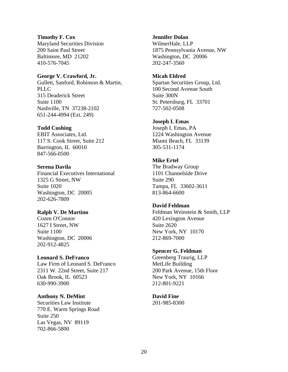### **Timothy F. Cox**

Maryland Securities Division 200 Saint Paul Street Baltimore, MD 21202 410-576-7045

### **George V. Crawford, Jr.**

Gullett, Sanford, Robinson & Martin, PLLC. 315 Deaderick Street Suite 1100 Nashville, TN 37238-2102 651-244-4994 (Ext. 249)

### **Todd Cushing**

EBIT Associates, Ltd. 117 S. Cook Street, Suite 212 Barrington, IL 60010 847-566-0500

### **Serena Davila**

Financial Executives International 1325 G Street, NW Suite 1020 Washington, DC 20005 202-626-7809

### **Ralph V. De Martino**

Cozen O'Connor 1627 I Street, NW Suite 1100 Washington, DC 20006 202-912-4825

### **Leonard S. DeFranco**

Law Firm of Leonard S. DeFranco 2311 W. 22nd Street, Suite 217 Oak Brook, IL 60523 630-990-3900

### **Anthony N. DeMint**

Securities Law Institute 770 E. Warm Springs Road Suite 250 Las Vegas, NV 89119 702-866-5800

### **Jennifer Dolan**

WilmerHale, LLP 1875 Pennsylvania Avenue, NW Washington, DC 20006 202-247-3560

### **Micah Eldred**

Spartan Securities Group, Ltd. 100 Second Avenue South Suite 300N St. Petersburg, FL 33701 727-502-0508

### **Joseph I. Emas**

Joseph I. Emas, PA 1224 Washington Avenue Miami Beach, FL 33139 305-531-1174

### **Mike Ertel**

The Bradway Group 1101 Channelside Drive Suite 290 Tampa, FL 33602-3611 813-864-6600

### **David Feldman**

Feldman Weinstein & Smith, LLP 420 Lexington Avenue Suite 2620 New York, NY 10170 212-869-7000

### **Spencer G. Feldman**

Greenberg Traurig, LLP MetLife Building 200 Park Avenue, 15th Floor New York, NY 10166 212-801-9221

### **David Fine**

201-985-8300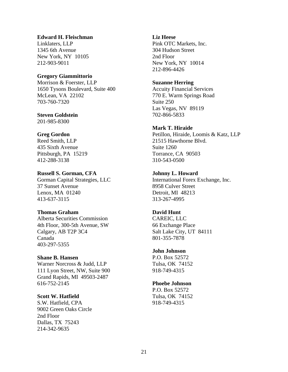### **Edward H. Fleischman**

Linklaters, LLP 1345 6th Avenue New York, NY 10105 212-903-9011

### **Gregory Giammittorio**

Morrison & Foerster, LLP 1650 Tysons Boulevard, Suite 400 McLean, VA 22102 703-760-7320

### **Steven Goldstein**

201-985-8300

### **Greg Gordon**

Reed Smith, LLP 435 Sixth Avenue Pittsburgh, PA 15219 412-288-3138

### **Russell S. Gorman, CFA**

Gorman Capital Strategies, LLC 37 Sunset Avenue Lenox, MA 01240 413-637-3115

### **Thomas Graham**

Alberta Securities Commission 4th Floor, 300-5th Avenue, SW Calgary, AB T2P 3C4 Canada 403-297-5355

### **Shane B. Hansen**

Warner Norcross & Judd, LLP 111 Lyon Street, NW, Suite 900 Grand Rapids, MI 49503-2487 616-752-2145

### **Scott W. Hatfield**

S.W. Hatfield, CPA 9002 Green Oaks Circle 2nd Floor Dallas, TX 75243 214-342-9635

#### **Liz Heese**

Pink OTC Markets, Inc. 304 Hudson Street 2nd Floor New York, NY 10014 212-896-4426

### **Suzanne Herring**

Accuity Financial Services 770 E. Warm Springs Road Suite 250 Las Vegas, NV 89119 702-866-5833

### **Mark T. Hiraide**

Petillon, Hiraide, Loomis & Katz, LLP 21515 Hawthorne Blvd. Suite 1260 Torrance, CA 90503 310-543-0500

### **Johnny L. Howard**

International Forex Exchange, Inc. 8958 Culver Street Detroit, MI 48213 313-267-4995

### **David Hunt**

CAREIC, LLC 66 Exchange Place Salt Lake City, UT 84111 801-355-7878

### **John Johnson**

P.O. Box 52572 Tulsa, OK 74152 918-749-4315

### **Phoebe Johnson**

P.O. Box 52572 Tulsa, OK 74152 918-749-4315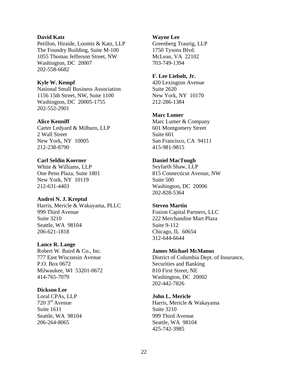### **David Katz**

Petillon, Hiraide, Loomis & Katz, LLP The Foundry Building, Suite M-100 1055 Thomas Jefferson Street, NW Washington, DC 20007 202-558-6682

### **Kyle W. Kempf**

National Small Business Association 1156 15th Street, NW, Suite 1100 Washington, DC 20005-1755 202-552-2901

### **Alice Kenniff**

Carter Ledyard & Milburn, LLP 2 Wall Street New York, NY 10005 212-238-8790

### **Carl Seldin Koerner**

White & Williams, LLP One Penn Plaza, Suite 1801 New York, NY 10119 212-631-4403

### **Andrei N. J. Kreptul**

Harris, Mericle & Wakayama, PLLC 999 Third Avenue Suite 3210 Seattle, WA 98104 206-621-1818

### **Lance R. Lange**

Robert W. Baird & Co., Inc. 777 East Wisconsin Avenue P.O. Box 0672 Milwaukee, WI 53201-0672 414-765-7079

### **Dickson Lee**

Loral CPAs, LLP 720 3rd Avenue Suite 1611 Seattle, WA 98104 206-264-8065

### **Wayne Lee**

Greenberg Traurig, LLP 1750 Tysons Blvd. McLean, VA 22102 703-749-1394

### **F. Lee Liebolt, Jr.**

420 Lexington Avenue Suite 2620 New York, NY 10170 212-286-1384

### **Marc Lumer**

Marc Lumer & Company 601 Montgomery Street Suite 601 San Francisco, CA 94111 415-981-9815

### **Daniel MacTough**

Seyfarth Shaw, LLP 815 Connecticut Avenue, NW Suite 500 Washington, DC 20006 202-828-5364

### **Steven Martin**

Fusion Capital Partners, LLC 222 Merchandise Mart Plaza Suite 9-112 Chicago, IL 60654 312-644-6644

### **James Michael McManus**

District of Columbia Dept. of Insurance, Securities and Banking 810 First Street, NE Washington, DC 20002 202-442-7826

### **John L. Mericle**

Harris, Mericle & Wakayama Suite 3210 999 Third Avenue Seattle, WA 98104 425-742-3985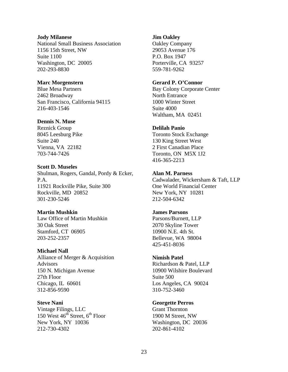### **Jody Milanese**

National Small Business Association 1156 15th Street, NW Suite 1100 Washington, DC 20005 202-293-8830

### **Marc Morgenstern**

Blue Mesa Partners 2462 Broadway San Francisco, California 94115 216-403-1546

### **Dennis N. Muse**

Reznick Group 8045 Leesburg Pike Suite 240 Vienna, VA 22182 703-744-7426

### **Scott D. Museles**

Shulman, Rogers, Gandal, Pordy & Ecker, P.A. 11921 Rockville Pike, Suite 300 Rockville, MD 20852 301-230-5246

### **Martin Mushkin**

Law Office of Martin Mushkin 30 Oak Street Stamford, CT 06905 203-252-2357

### **Michael Nall**

Alliance of Merger & Acquisition Advisors 150 N. Michigan Avenue 27th Floor Chicago, IL 60601 312-856-9590

**Steve Nani**  Vintage Filings, LLC 150 West  $46<sup>th</sup>$  Street,  $6<sup>th</sup>$  Floor New York, NY 10036 212-730-4302

### **Jim Oakley**

Oakley Company 29053 Avenue 176 P.O. Box 1947 Porterville, CA 93257 559-781-9262

### **Gerard P. O'Connor**

Bay Colony Corporate Center North Entrance 1000 Winter Street Suite 4000 Waltham, MA 02451

### **Delilah Panio**

Toronto Stock Exchange 130 King Street West 2 First Canadian Place Toronto, ON M5X 1J2 416-365-2213

### **Alan M. Parness**

Cadwalader, Wickersham & Taft, LLP One World Financial Center New York, NY 10281 212-504-6342

### **James Parsons**

Parsons/Burnett, LLP 2070 Skyline Tower 10900 N.E. 4th St. Bellevue, WA 98004 425-451-8036

### **Nimish Patel**

Richardson & Patel, LLP 10900 Wilshire Boulevard Suite 500 Los Angeles, CA 90024 310-752-3460

### **Georgette Perros**

Grant Thornton 1900 M Street, NW Washington, DC 20036 202-861-4102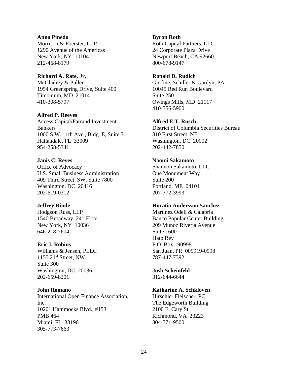### **Anna Pinedo**

Morrison & Foerster, LLP 1290 Avenue of the Americas New York, NY 10104 212-468-8179

### **Richard A. Rate, Jr,**

McGladrey & Pullen 1954 Greenspring Drive, Suite 400 Timonium, MD 21014 410-308-5797

### **Alfred P. Reeves**

Access Capital/Farrand Investment **Bankers** 1000 S.W. 11th Ave., Bldg. E, Suite 7 Hallandale, FL 33009 954-258-5341

### **Janis C. Reyes**

Office of Advocacy U.S. Small Business Administration 409 Third Street, SW, Suite 7800 Washington, DC 20416 202-619-0312

### **Jeffrey Rinde**

Hodgson Russ, LLP 1540 Broadway,  $24^{\text{th}}$  Floor New York, NY 10036 646-218-7604

### **Eric I. Robins**

Williams & Jensen, PLLC  $1155$   $21<sup>st</sup>$  Street, NW Suite 300 Washington, DC 20036 202-659-8201

### **John Romano**

International Open Finance Association, Inc. 10201 Hammocks Blvd., #153 PMB 464 Miami, FL 33196 305-773-7663

### **Byron Roth**

Roth Capital Partners, LLC 24 Corporate Plaza Drive Newport Beach, CA 92660 800-678-9147

### **Ronald D. Rudich**

Gorfine, Schiller & Gardyn, PA 10045 Red Run Boulevard Suite 250 Owings Mills, MD 21117 410-356-5900

### **Alfred E.T. Rusch**

District of Columbia Securities Bureau 810 First Street, NE Washington, DC 20002 202-442-7850

### **Naomi Sakamoto**

Shannon Sakamoto, LLC One Monument Way Suite 200 Portland, ME 04101 207-772-3993

### **Horatio Andersson Sanchez**

Martinez Odell & Calabria Banco Popular Center Building 209 Munoz Riveria Avenue Suite 1600 Hato Rey P.O. Box 190998 San Juan, PR 009919-0998 787-447-7392

### **Josh Scheinfeld**

312-644-6644

### **Katharine A. Schkloven**

Hirschler Fleischer, PC The Edgeworth Building 2100 E. Cary St. Richmond, VA 23223 804-771-9500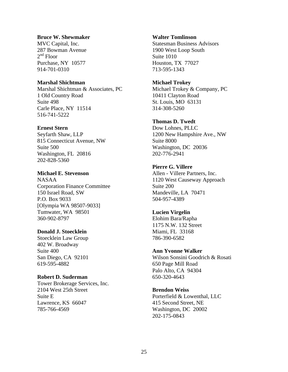### **Bruce W. Shewmaker**

MVC Capital, Inc. 287 Bowman Avenue  $2<sup>nd</sup>$  Floor Purchase, NY 10577 914-701-0310

### **Marshal Shichtman**

Marshal Shichtman & Associates, PC 1 Old Country Road Suite 498 Carle Place, NY 11514 516-741-5222

### **Ernest Stern**

Seyfarth Shaw, LLP 815 Connecticut Avenue, NW Suite 500 Washington, FL 20816 202-828-5360

### **Michael E. Stevenson**

NASAA Corporation Finance Committee 150 Israel Road, SW P.O. Box 9033 [Olympia WA 98507-9033] Tumwater, WA 98501 360-902-8797

### **Donald J. Stoecklein**

Stoecklein Law Group 402 W. Broadway Suite 400 San Diego, CA 92101 619-595-4882

### **Robert D. Suderman**

Tower Brokerage Services, Inc. 2104 West 25th Street Suite E Lawrence, KS 66047 785-766-4569

### **Walter Tomlinson**

Statesman Business Advisors 1900 West Loop South Suite 1010 Houston, TX 77027 713-595-1343

### **Michael Trokey**

Michael Trokey & Company, PC 10411 Clayton Road St. Louis, MO 63131 314-308-5260

### **Thomas D. Twedt**

Dow Lohnes, PLLC 1200 New Hampshire Ave., NW Suite 8000 Washington, DC 20036 202-776-2941

### **Pierre G. Villere**

Allen - Villere Partners, Inc. 1120 West Causeway Approach Suite 200 Mandeville, LA 70471 504-957-4389

### **Lucien Virgelin**

Elohim Bara/Rapha 1175 N.W. 132 Street Miami, FL 33168 786-390-6582

### **Ann Yvonne Walker**

Wilson Sonsini Goodrich & Rosati 650 Page Mill Road Palo Alto, CA 94304 650-320-4643

### **Brendon Weiss**

Porterfield & Lowenthal, LLC 415 Second Street, NE Washington, DC 20002 202-175-0843